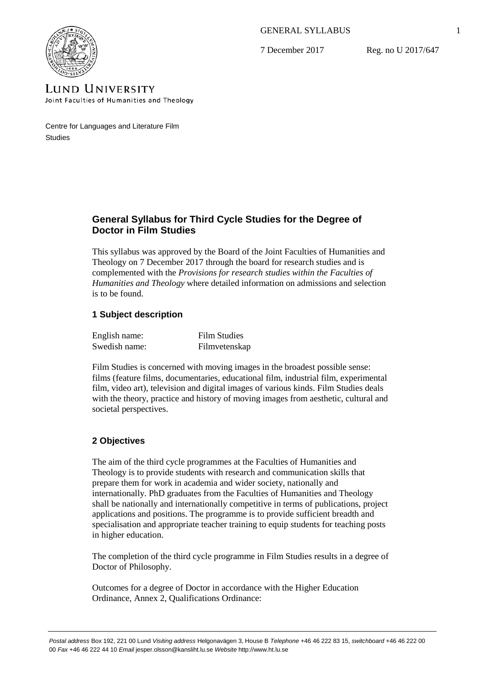GENERAL SYLLABUS

7 December 2017

Reg. no U 2017/647



**LUND UNIVERSITY** Joint Faculties of Humanities and Theology

Centre for Languages and Literature Film **Studies** 

# **General Syllabus for Third Cycle Studies for the Degree of Doctor in Film Studies**

This syllabus was approved by the Board of the Joint Faculties of Humanities and Theology on 7 December 2017 through the board for research studies and is complemented with the *Provisions for research studies within the Faculties of Humanities and Theology* where detailed information on admissions and selection is to be found.

# **1 Subject description**

| English name: | <b>Film Studies</b> |
|---------------|---------------------|
| Swedish name: | Filmvetenskap       |

Film Studies is concerned with moving images in the broadest possible sense: films (feature films, documentaries, educational film, industrial film, experimental film, video art), television and digital images of various kinds. Film Studies deals with the theory, practice and history of moving images from aesthetic, cultural and societal perspectives.

# **2 Objectives**

The aim of the third cycle programmes at the Faculties of Humanities and Theology is to provide students with research and communication skills that prepare them for work in academia and wider society, nationally and internationally. PhD graduates from the Faculties of Humanities and Theology shall be nationally and internationally competitive in terms of publications, project applications and positions. The programme is to provide sufficient breadth and specialisation and appropriate teacher training to equip students for teaching posts in higher education.

The completion of the third cycle programme in Film Studies results in a degree of Doctor of Philosophy.

Outcomes for a degree of Doctor in accordance with the Higher Education Ordinance, Annex 2, Qualifications Ordinance: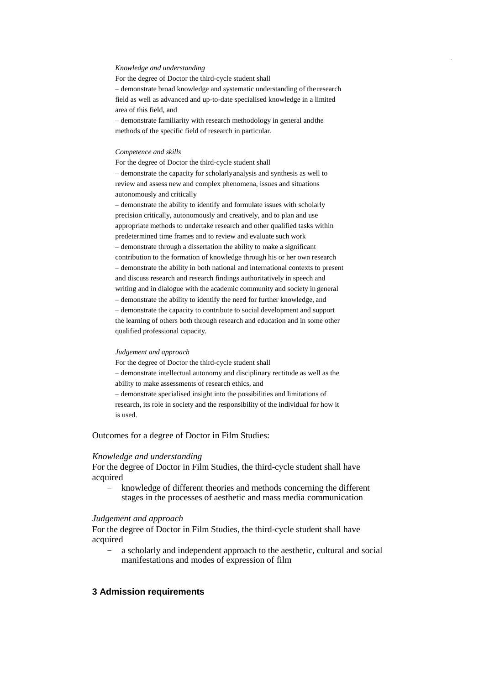#### *Knowledge and understanding*

For the degree of Doctor the third-cycle student shall – demonstrate broad knowledge and systematic understanding of the research field as well as advanced and up-to-date specialised knowledge in a limited area of this field, and

– demonstrate familiarity with research methodology in general andthe methods of the specific field of research in particular.

#### *Competence and skills*

For the degree of Doctor the third-cycle student shall – demonstrate the capacity for scholarlyanalysis and synthesis as well to review and assess new and complex phenomena, issues and situations

autonomously and critically

– demonstrate the ability to identify and formulate issues with scholarly precision critically, autonomously and creatively, and to plan and use appropriate methods to undertake research and other qualified tasks within predetermined time frames and to review and evaluate such work – demonstrate through a dissertation the ability to make a significant contribution to the formation of knowledge through his or her own research – demonstrate the ability in both national and international contexts to present and discuss research and research findings authoritatively in speech and writing and in dialogue with the academic community and society in general – demonstrate the ability to identify the need for further knowledge, and – demonstrate the capacity to contribute to social development and support the learning of others both through research and education and in some other qualified professional capacity.

#### *Judgement and approach*

For the degree of Doctor the third-cycle student shall – demonstrate intellectual autonomy and disciplinary rectitude as well as the ability to make assessments of research ethics, and – demonstrate specialised insight into the possibilities and limitations of research, its role in society and the responsibility of the individual for how it is used.

Outcomes for a degree of Doctor in Film Studies:

#### *Knowledge and understanding*

For the degree of Doctor in Film Studies, the third-cycle student shall have acquired

– knowledge of different theories and methods concerning the different stages in the processes of aesthetic and mass media communication

#### *Judgement and approach*

For the degree of Doctor in Film Studies, the third-cycle student shall have acquired

– a scholarly and independent approach to the aesthetic, cultural and social manifestations and modes of expression of film

# **3 Admission requirements**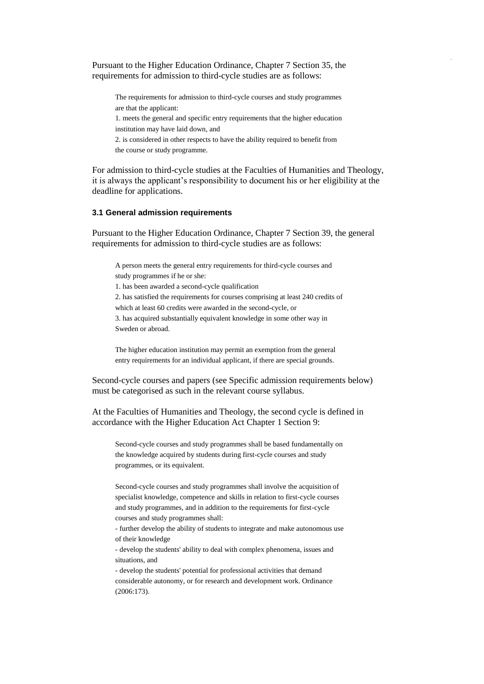Pursuant to the Higher Education Ordinance, Chapter 7 Section 35, the requirements for admission to third-cycle studies are as follows:

The requirements for admission to third-cycle courses and study programmes are that the applicant:

1. meets the general and specific entry requirements that the higher education institution may have laid down, and

2. is considered in other respects to have the ability required to benefit from the course or study programme.

For admission to third-cycle studies at the Faculties of Humanities and Theology, it is always the applicant's responsibility to document his or her eligibility at the deadline for applications.

### **3.1 General admission requirements**

Pursuant to the Higher Education Ordinance, Chapter 7 Section 39, the general requirements for admission to third-cycle studies are as follows:

A person meets the general entry requirements for third-cycle courses and study programmes if he or she:

1. has been awarded a second-cycle qualification

2. has satisfied the requirements for courses comprising at least 240 credits of

which at least 60 credits were awarded in the second-cycle, or

3. has acquired substantially equivalent knowledge in some other way in Sweden or abroad.

The higher education institution may permit an exemption from the general entry requirements for an individual applicant, if there are special grounds.

Second-cycle courses and papers (see Specific admission requirements below) must be categorised as such in the relevant course syllabus.

At the Faculties of Humanities and Theology, the second cycle is defined in accordance with the Higher Education Act Chapter 1 Section 9:

Second-cycle courses and study programmes shall be based fundamentally on the knowledge acquired by students during first-cycle courses and study programmes, or its equivalent.

Second-cycle courses and study programmes shall involve the acquisition of specialist knowledge, competence and skills in relation to first-cycle courses and study programmes, and in addition to the requirements for first-cycle courses and study programmes shall:

- further develop the ability of students to integrate and make autonomous use of their knowledge

- develop the students' ability to deal with complex phenomena, issues and situations, and

- develop the students' potential for professional activities that demand considerable autonomy, or for research and development work. Ordinance (2006:173).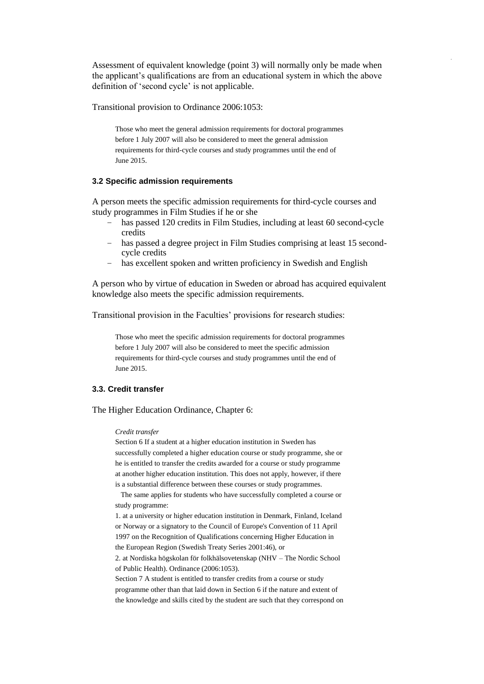Assessment of equivalent knowledge (point 3) will normally only be made when the applicant's qualifications are from an educational system in which the above definition of 'second cycle' is not applicable.

Transitional provision to Ordinance 2006:1053:

Those who meet the general admission requirements for doctoral programmes before 1 July 2007 will also be considered to meet the general admission requirements for third-cycle courses and study programmes until the end of June 2015.

### **3.2 Specific admission requirements**

A person meets the specific admission requirements for third-cycle courses and study programmes in Film Studies if he or she

- has passed 120 credits in Film Studies, including at least 60 second-cycle credits
- has passed a degree project in Film Studies comprising at least 15 secondcycle credits
- has excellent spoken and written proficiency in Swedish and English

A person who by virtue of education in Sweden or abroad has acquired equivalent knowledge also meets the specific admission requirements.

Transitional provision in the Faculties' provisions for research studies:

Those who meet the specific admission requirements for doctoral programmes before 1 July 2007 will also be considered to meet the specific admission requirements for third-cycle courses and study programmes until the end of June 2015.

#### **3.3. Credit transfer**

The Higher Education Ordinance, Chapter 6:

#### *Credit transfer*

Section 6 If a student at a higher education institution in Sweden has successfully completed a higher education course or study programme, she or he is entitled to transfer the credits awarded for a course or study programme at another higher education institution. This does not apply, however, if there is a substantial difference between these courses or study programmes.

The same applies for students who have successfully completed a course or study programme:

1. at a university or higher education institution in Denmark, Finland, Iceland or Norway or a signatory to the Council of Europe's Convention of 11 April 1997 on the Recognition of Qualifications concerning Higher Education in the European Region (Swedish Treaty Series 2001:46), or

2. at Nordiska högskolan för folkhälsovetenskap (NHV – The Nordic School of Public Health). Ordinance (2006:1053).

Section 7 A student is entitled to transfer credits from a course or study programme other than that laid down in Section 6 if the nature and extent of the knowledge and skills cited by the student are such that they correspond on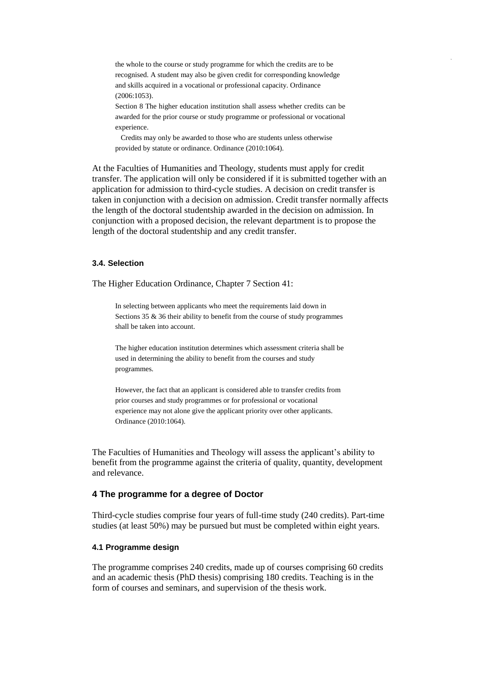the whole to the course or study programme for which the credits are to be recognised. A student may also be given credit for corresponding knowledge and skills acquired in a vocational or professional capacity. Ordinance (2006:1053).

Section 8 The higher education institution shall assess whether credits can be awarded for the prior course or study programme or professional or vocational experience.

Credits may only be awarded to those who are students unless otherwise provided by statute or ordinance. Ordinance (2010:1064).

At the Faculties of Humanities and Theology, students must apply for credit transfer. The application will only be considered if it is submitted together with an application for admission to third-cycle studies. A decision on credit transfer is taken in conjunction with a decision on admission. Credit transfer normally affects the length of the doctoral studentship awarded in the decision on admission. In conjunction with a proposed decision, the relevant department is to propose the length of the doctoral studentship and any credit transfer.

## **3.4. Selection**

The Higher Education Ordinance, Chapter 7 Section 41:

In selecting between applicants who meet the requirements laid down in Sections 35 & 36 their ability to benefit from the course of study programmes shall be taken into account.

The higher education institution determines which assessment criteria shall be used in determining the ability to benefit from the courses and study programmes.

However, the fact that an applicant is considered able to transfer credits from prior courses and study programmes or for professional or vocational experience may not alone give the applicant priority over other applicants. Ordinance (2010:1064).

The Faculties of Humanities and Theology will assess the applicant's ability to benefit from the programme against the criteria of quality, quantity, development and relevance.

## **4 The programme for a degree of Doctor**

Third-cycle studies comprise four years of full-time study (240 credits). Part-time studies (at least 50%) may be pursued but must be completed within eight years.

## **4.1 Programme design**

The programme comprises 240 credits, made up of courses comprising 60 credits and an academic thesis (PhD thesis) comprising 180 credits. Teaching is in the form of courses and seminars, and supervision of the thesis work.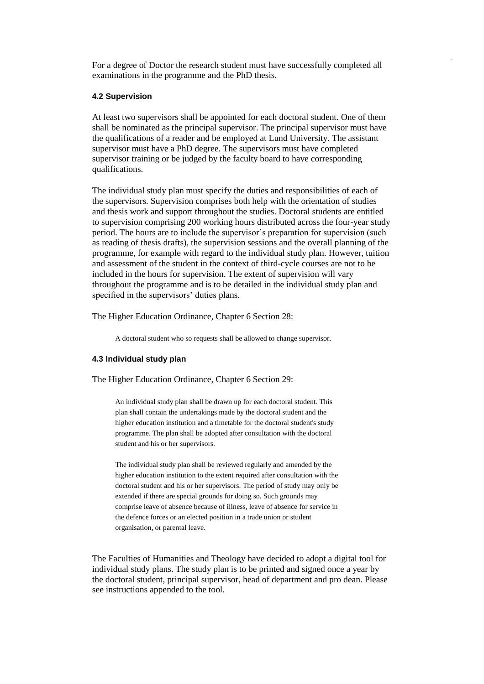For a degree of Doctor the research student must have successfully completed all examinations in the programme and the PhD thesis.

## **4.2 Supervision**

At least two supervisors shall be appointed for each doctoral student. One of them shall be nominated as the principal supervisor. The principal supervisor must have the qualifications of a reader and be employed at Lund University. The assistant supervisor must have a PhD degree. The supervisors must have completed supervisor training or be judged by the faculty board to have corresponding qualifications.

The individual study plan must specify the duties and responsibilities of each of the supervisors. Supervision comprises both help with the orientation of studies and thesis work and support throughout the studies. Doctoral students are entitled to supervision comprising 200 working hours distributed across the four-year study period. The hours are to include the supervisor's preparation for supervision (such as reading of thesis drafts), the supervision sessions and the overall planning of the programme, for example with regard to the individual study plan. However, tuition and assessment of the student in the context of third-cycle courses are not to be included in the hours for supervision. The extent of supervision will vary throughout the programme and is to be detailed in the individual study plan and specified in the supervisors' duties plans.

The Higher Education Ordinance, Chapter 6 Section 28:

A doctoral student who so requests shall be allowed to change supervisor.

### **4.3 Individual study plan**

The Higher Education Ordinance, Chapter 6 Section 29:

An individual study plan shall be drawn up for each doctoral student. This plan shall contain the undertakings made by the doctoral student and the higher education institution and a timetable for the doctoral student's study programme. The plan shall be adopted after consultation with the doctoral student and his or her supervisors.

The individual study plan shall be reviewed regularly and amended by the higher education institution to the extent required after consultation with the doctoral student and his or her supervisors. The period of study may only be extended if there are special grounds for doing so. Such grounds may comprise leave of absence because of illness, leave of absence for service in the defence forces or an elected position in a trade union or student organisation, or parental leave.

The Faculties of Humanities and Theology have decided to adopt a digital tool for individual study plans. The study plan is to be printed and signed once a year by the doctoral student, principal supervisor, head of department and pro dean. Please see instructions appended to the tool.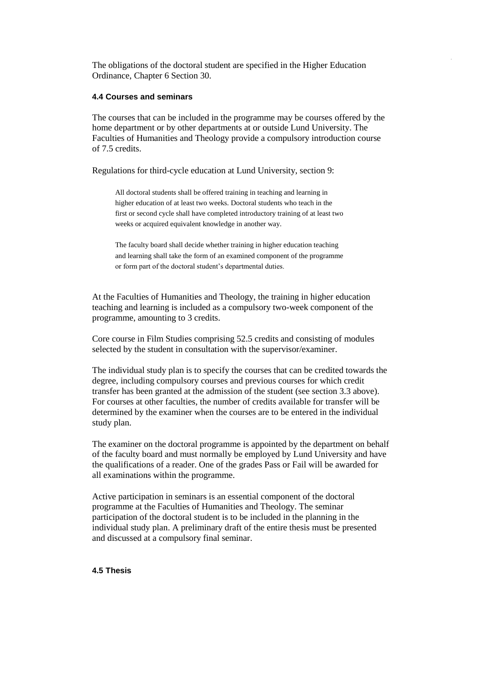The obligations of the doctoral student are specified in the Higher Education Ordinance, Chapter 6 Section 30.

## **4.4 Courses and seminars**

The courses that can be included in the programme may be courses offered by the home department or by other departments at or outside Lund University. The Faculties of Humanities and Theology provide a compulsory introduction course of 7.5 credits.

Regulations for third-cycle education at Lund University, section 9:

All doctoral students shall be offered training in teaching and learning in higher education of at least two weeks. Doctoral students who teach in the first or second cycle shall have completed introductory training of at least two weeks or acquired equivalent knowledge in another way.

The faculty board shall decide whether training in higher education teaching and learning shall take the form of an examined component of the programme or form part of the doctoral student's departmental duties.

At the Faculties of Humanities and Theology, the training in higher education teaching and learning is included as a compulsory two-week component of the programme, amounting to 3 credits.

Core course in Film Studies comprising 52.5 credits and consisting of modules selected by the student in consultation with the supervisor/examiner.

The individual study plan is to specify the courses that can be credited towards the degree, including compulsory courses and previous courses for which credit transfer has been granted at the admission of the student (see section 3.3 above). For courses at other faculties, the number of credits available for transfer will be determined by the examiner when the courses are to be entered in the individual study plan.

The examiner on the doctoral programme is appointed by the department on behalf of the faculty board and must normally be employed by Lund University and have the qualifications of a reader. One of the grades Pass or Fail will be awarded for all examinations within the programme.

Active participation in seminars is an essential component of the doctoral programme at the Faculties of Humanities and Theology. The seminar participation of the doctoral student is to be included in the planning in the individual study plan. A preliminary draft of the entire thesis must be presented and discussed at a compulsory final seminar.

#### **4.5 Thesis**